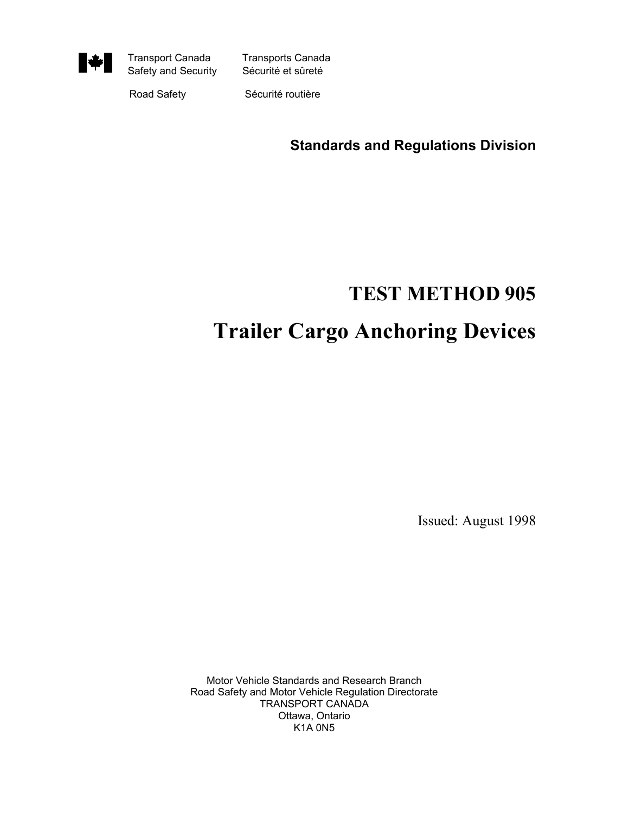

Transport Canada Transports Canada

Road Safety Sécurité routière

**Standards and Regulations Division**

# **TEST METHOD 905 Trailer Cargo Anchoring Devices**

Issued: August 1998

Motor Vehicle Standards and Research Branch Road Safety and Motor Vehicle Regulation Directorate TRANSPORT CANADA Ottawa, Ontario K1A 0N5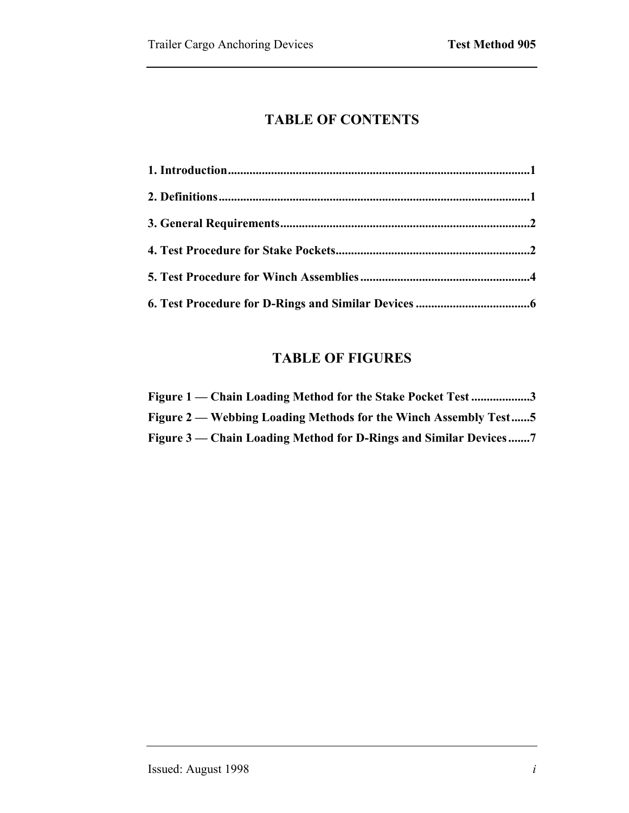## **TABLE OF CONTENTS**

## **TABLE OF FIGURES**

| Figure 1 — Chain Loading Method for the Stake Pocket Test3       |
|------------------------------------------------------------------|
| Figure 2 — Webbing Loading Methods for the Winch Assembly Test5  |
| Figure 3 — Chain Loading Method for D-Rings and Similar Devices7 |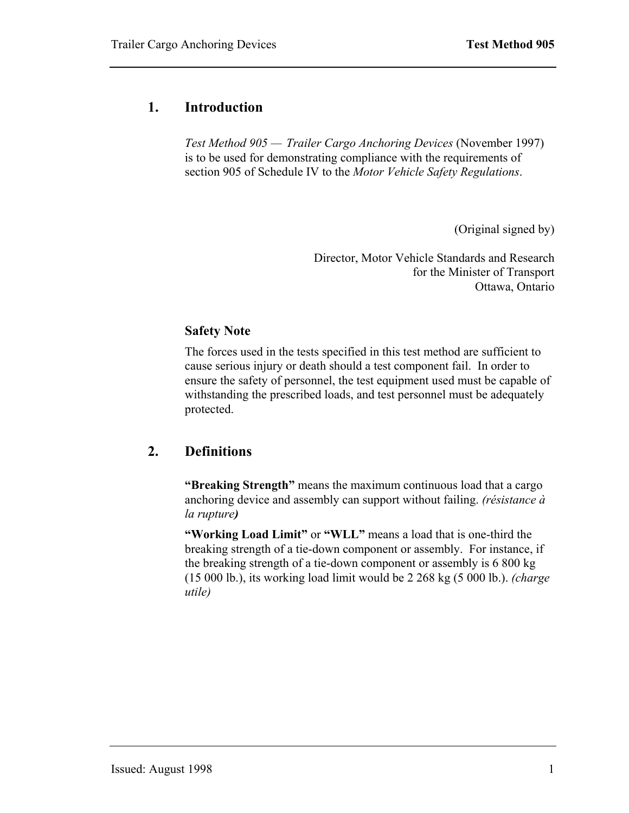#### <span id="page-2-0"></span>**1. Introduction**

*Test Method 905 – Trailer Cargo Anchoring Devices (November 1997)* is to be used for demonstrating compliance with the requirements of section 905 of Schedule IV to the *Motor Vehicle Safety Regulations*.

(Original signed by)

Director, Motor Vehicle Standards and Research for the Minister of Transport Ottawa, Ontario

#### **Safety Note**

The forces used in the tests specified in this test method are sufficient to cause serious injury or death should a test component fail. In order to ensure the safety of personnel, the test equipment used must be capable of withstanding the prescribed loads, and test personnel must be adequately protected.

#### <span id="page-2-1"></span>**2. Definitions**

**Example 3 is a strength** means the maximum continuous load that a cargo anchoring device and assembly can support without failing. *(résistance à la rupture)*

**"Working Load Limit"** or **"WLL"** means a load that is one-third the breaking strength of a tie-down component or assembly. For instance, if the breaking strength of a tie-down component or assembly is 6 800 kg (15 000 lb.), its working load limit would be 2 268 kg (5 000 lb.). *(charge utile)*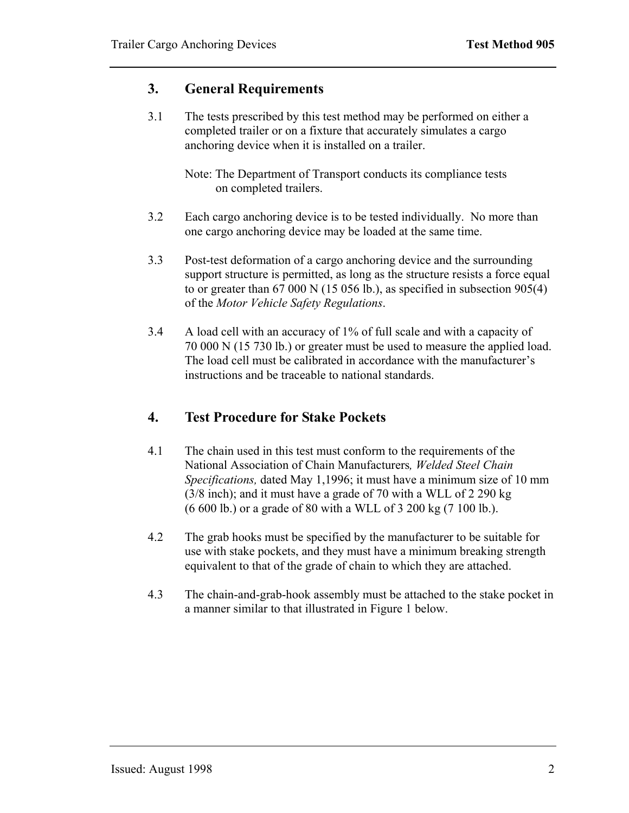#### <span id="page-3-0"></span>**3. General Requirements**

3.1 The tests prescribed by this test method may be performed on either a completed trailer or on a fixture that accurately simulates a cargo anchoring device when it is installed on a trailer.

 Note: The Department of Transport conducts its compliance tests on completed trailers.

- 3.2 Each cargo anchoring device is to be tested individually. No more than one cargo anchoring device may be loaded at the same time.
- 3.3 Post-test deformation of a cargo anchoring device and the surrounding support structure is permitted, as long as the structure resists a force equal to or greater than 67 000 N (15 056 lb.), as specified in subsection 905(4) of the *Motor Vehicle Safety Regulations*.
- 3.4 A load cell with an accuracy of 1% of full scale and with a capacity of 70 000 N (15 730 lb.) or greater must be used to measure the applied load. The load cell must be calibrated in accordance with the manufacturer's instructions and be traceable to national standards.

### <span id="page-3-1"></span>**4. Test Procedure for Stake Pockets**

- 4.1 The chain used in this test must conform to the requirements of the National Association of Chain Manufacturers*, Welded Steel Chain Specifications,* dated May 1,1996; it must have a minimum size of 10 mm (3/8 inch); and it must have a grade of 70 with a WLL of 2 290 kg (6 600 lb.) or a grade of 80 with a WLL of 3 200 kg (7 100 lb.).
- 4.2 The grab hooks must be specified by the manufacturer to be suitable for use with stake pockets, and they must have a minimum breaking strength equivalent to that of the grade of chain to which they are attached.
- 4.3 The chain-and-grab-hook assembly must be attached to the stake pocket in a manner similar to that illustrated in Figure 1 below.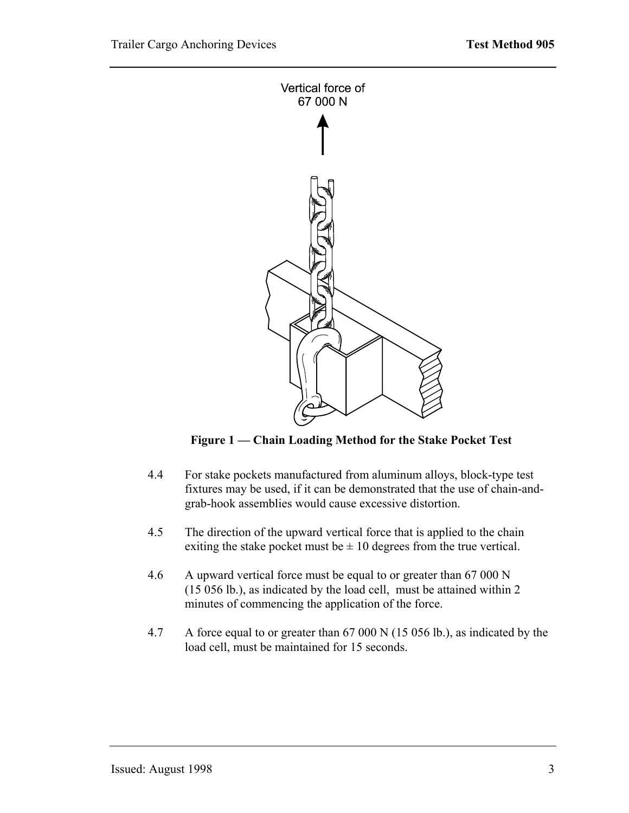<span id="page-4-0"></span>

Figure 1 – Chain Loading Method for the Stake Pocket Test

- 4.4 For stake pockets manufactured from aluminum alloys, block-type test fixtures may be used, if it can be demonstrated that the use of chain-andgrab-hook assemblies would cause excessive distortion.
- 4.5 The direction of the upward vertical force that is applied to the chain exiting the stake pocket must be  $\pm$  10 degrees from the true vertical.
- 4.6 A upward vertical force must be equal to or greater than 67 000 N (15 056 lb.), as indicated by the load cell, must be attained within 2 minutes of commencing the application of the force.
- 4.7 A force equal to or greater than 67 000 N (15 056 lb.), as indicated by the load cell, must be maintained for 15 seconds.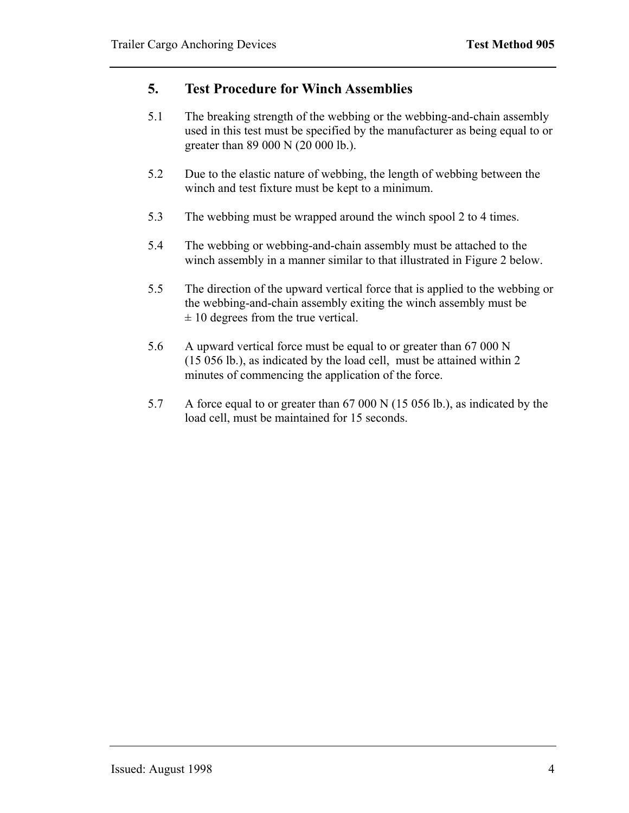#### <span id="page-5-0"></span>**5. Test Procedure for Winch Assemblies**

- 5.1 The breaking strength of the webbing or the webbing-and-chain assembly used in this test must be specified by the manufacturer as being equal to or greater than 89 000 N (20 000 lb.).
- 5.2 Due to the elastic nature of webbing, the length of webbing between the winch and test fixture must be kept to a minimum.
- 5.3 The webbing must be wrapped around the winch spool 2 to 4 times.
- 5.4 The webbing or webbing-and-chain assembly must be attached to the winch assembly in a manner similar to that illustrated in Figure 2 below.
- 5.5 The direction of the upward vertical force that is applied to the webbing or the webbing-and-chain assembly exiting the winch assembly must be  $\pm$  10 degrees from the true vertical.
- 5.6 A upward vertical force must be equal to or greater than 67 000 N (15 056 lb.), as indicated by the load cell, must be attained within 2 minutes of commencing the application of the force.
- 5.7 A force equal to or greater than 67 000 N (15 056 lb.), as indicated by the load cell, must be maintained for 15 seconds.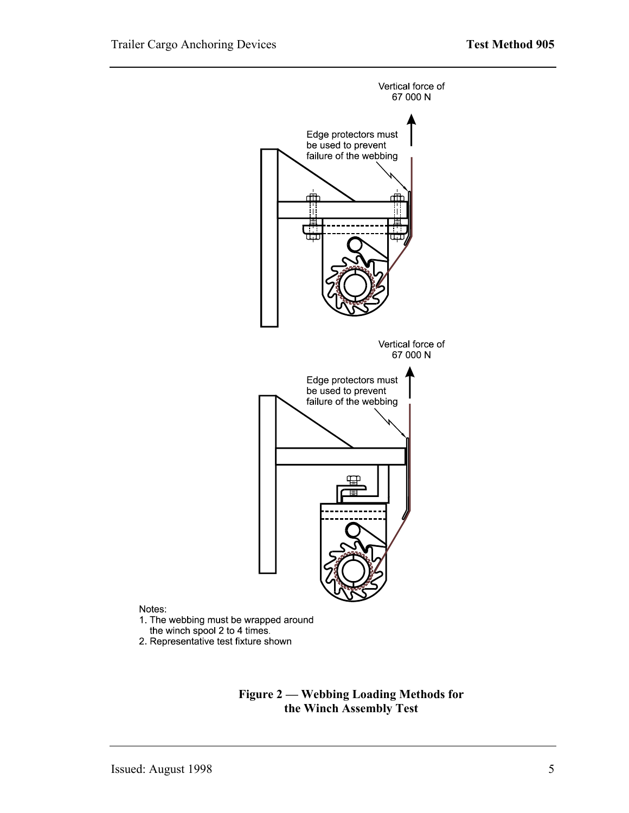<span id="page-6-0"></span>

2. Representative test fixture shown



Notes: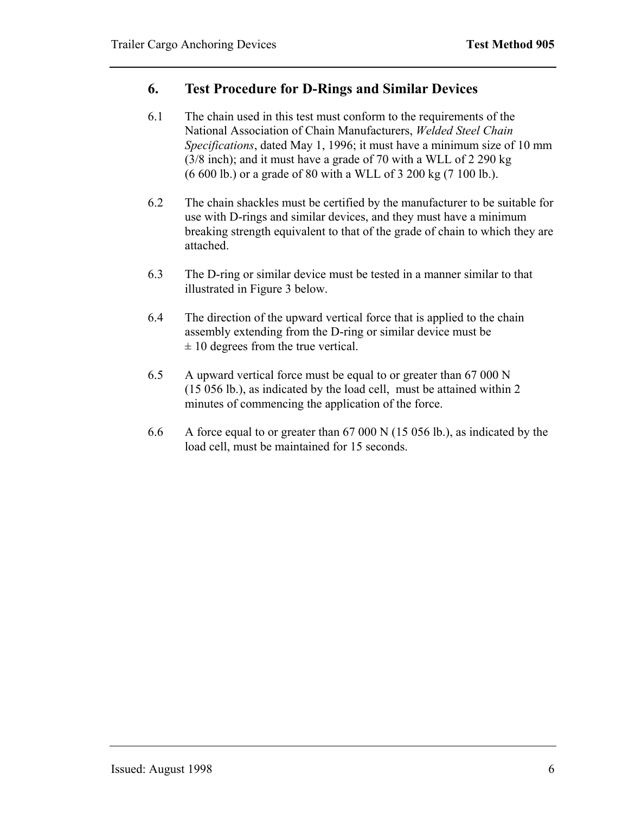#### <span id="page-7-0"></span>**6. Test Procedure for D-Rings and Similar Devices**

- 6.1 The chain used in this test must conform to the requirements of the National Association of Chain Manufacturers, *Welded Steel Chain Specifications*, dated May 1, 1996; it must have a minimum size of 10 mm (3/8 inch); and it must have a grade of 70 with a WLL of 2 290 kg (6 600 lb.) or a grade of 80 with a WLL of 3 200 kg (7 100 lb.).
- 6.2 The chain shackles must be certified by the manufacturer to be suitable for use with D-rings and similar devices, and they must have a minimum breaking strength equivalent to that of the grade of chain to which they are attached.
- 6.3 The D-ring or similar device must be tested in a manner similar to that illustrated in Figure 3 below.
- 6.4 The direction of the upward vertical force that is applied to the chain assembly extending from the D-ring or similar device must be  $\pm$  10 degrees from the true vertical.
- 6.5 A upward vertical force must be equal to or greater than 67 000 N (15 056 lb.), as indicated by the load cell, must be attained within 2 minutes of commencing the application of the force.
- 6.6 A force equal to or greater than 67 000 N (15 056 lb.), as indicated by the load cell, must be maintained for 15 seconds.